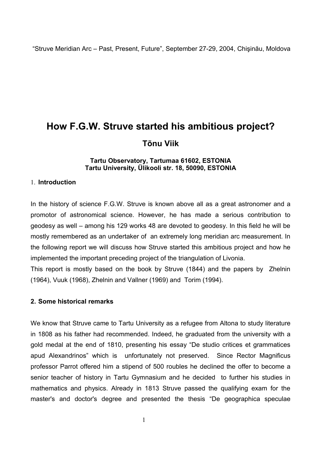# **How F.G.W. Struve started his ambitious project? Tõnu Viik**

## **Tartu Observatory, Tartumaa 61602, ESTONIA Tartu University, Ülikooli str. 18, 50090, ESTONIA**

# 1. **Introduction**

In the history of science F.G.W. Struve is known above all as a great astronomer and a promotor of astronomical science. However, he has made a serious contribution to geodesy as well – among his 129 works 48 are devoted to geodesy. In this field he will be mostly remembered as an undertaker of an extremely long meridian arc measurement. In the following report we will discuss how Struve started this ambitious project and how he implemented the important preceding project of the triangulation of Livonia.

This report is mostly based on the book by Struve (1844) and the papers by Zhelnin (1964), Vuuk (1968), Zhelnin and Vallner (1969) and Torim (1994).

# **2. Some historical remarks**

We know that Struve came to Tartu University as a refugee from Altona to study literature in 1808 as his father had recommended. Indeed, he graduated from the university with a gold medal at the end of 1810, presenting his essay "De studio critices et grammatices apud Alexandrinos" which is unfortunately not preserved. Since Rector Magnificus professor Parrot offered him a stipend of 500 roubles he declined the offer to become a senior teacher of history in Tartu Gymnasium and he decided to further his studies in mathematics and physics. Already in 1813 Struve passed the qualifying exam for the master's and doctor's degree and presented the thesis "De geographica speculae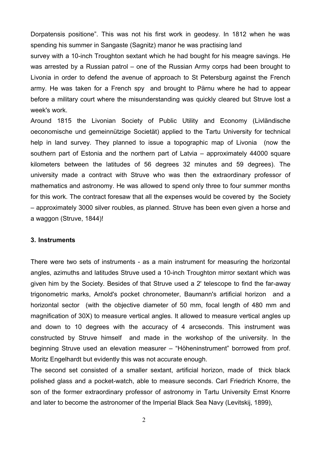Dorpatensis positione". This was not his first work in geodesy. In 1812 when he was spending his summer in Sangaste (Sagnitz) manor he was practising land

survey with a 10-inch Troughton sextant which he had bought for his meagre savings. He was arrested by a Russian patrol – one of the Russian Army corps had been brought to Livonia in order to defend the avenue of approach to St Petersburg against the French army. He was taken for a French spy and brought to Pärnu where he had to appear before a military court where the misunderstanding was quickly cleared but Struve lost a week's work.

Around 1815 the Livonian Society of Public Utility and Economy (Livländische oeconomische und gemeinnützige Societät) applied to the Tartu University for technical help in land survey. They planned to issue a topographic map of Livonia (now the southern part of Estonia and the northern part of Latvia – approximately 44000 square kilometers between the latitudes of 56 degrees 32 minutes and 59 degrees). The university made a contract with Struve who was then the extraordinary professor of mathematics and astronomy. He was allowed to spend only three to four summer months for this work. The contract foresaw that all the expenses would be covered by the Society – approximately 3000 silver roubles, as planned. Struve has been even given a horse and a waggon (Struve, 1844)!

#### **3. Instruments**

There were two sets of instruments - as a main instrument for measuring the horizontal angles, azimuths and latitudes Struve used a 10-inch Troughton mirror sextant which was given him by the Society. Besides of that Struve used a 2' telescope to find the far-away trigonometric marks, Arnold's pocket chronometer, Baumann's artificial horizon and a horizontal sector (with the objective diameter of 50 mm, focal length of 480 mm and magnification of 30X) to measure vertical angles. It allowed to measure vertical angles up and down to 10 degrees with the accuracy of 4 arcseconds. This instrument was constructed by Struve himself and made in the workshop of the university. In the beginning Struve used an elevation measurer – "Höheninstrument" borrowed from prof. Moritz Engelhardt but evidently this was not accurate enough.

The second set consisted of a smaller sextant, artificial horizon, made of thick black polished glass and a pocket-watch, able to measure seconds. Carl Friedrich Knorre, the son of the former extraordinary professor of astronomy in Tartu University Ernst Knorre and later to become the astronomer of the Imperial Black Sea Navy (Levitskij, 1899),

2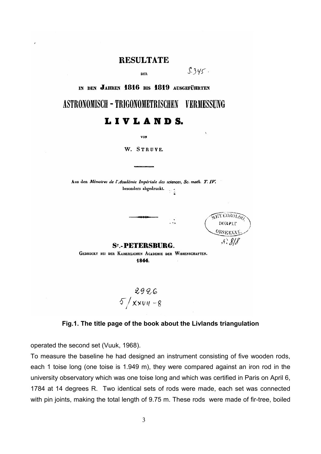# **RESULTATE**

nea

 $$.345$ 

IN DEN JAHREN 1816 BIS 1819 AUSGEFÜHRTEN

**ASTRONOMISCH - TRIGONOMETRISCHEN VERMESSUNG** 

# LIVLANDS.

**VON** 

W. STRUVE.

Aus den Mémoires de l'Académie Impériale des sciences, Sc. math. T. IV. besonders abgedruckt.  $\sim$  1

TEOROLO DORPAT **OBSERVA** 

**ST.-PETERSRURG.** 

GEDRUCKT BEI DER KAISERLICHEN ACADEMIE DER WISSENSCHAFTEN. 1844.

 $2926$ <br>5/xxv11-8

# **Fig.1. The title page of the book about the Livlands triangulation**

operated the second set (Vuuk, 1968).

To measure the baseline he had designed an instrument consisting of five wooden rods, each 1 toise long (one toise is 1.949 m), they were compared against an iron rod in the university observatory which was one toise long and which was certified in Paris on April 6, 1784 at 14 degrees R. Two identical sets of rods were made, each set was connected with pin joints, making the total length of 9.75 m. These rods were made of fir-tree, boiled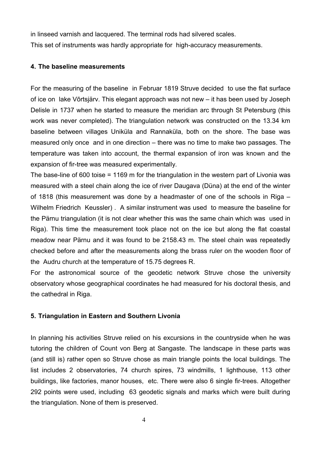in linseed varnish and lacquered. The terminal rods had silvered scales. This set of instruments was hardly appropriate for high-accuracy measurements.

#### **4. The baseline measurements**

For the measuring of the baseline in Februar 1819 Struve decided to use the flat surface of ice on lake Võrtsjärv. This elegant approach was not new – it has been used by Joseph Delisle in 1737 when he started to measure the meridian arc through St Petersburg (this work was never completed). The triangulation network was constructed on the 13.34 km baseline between villages Uniküla and Rannaküla, both on the shore. The base was measured only once and in one direction – there was no time to make two passages. The temperature was taken into account, the thermal expansion of iron was known and the expansion of fir-tree was measured experimentally.

The base-line of 600 toise = 1169 m for the triangulation in the western part of Livonia was measured with a steel chain along the ice of river Daugava (Düna) at the end of the winter of 1818 (this measurement was done by a headmaster of one of the schools in Riga – Wilhelm Friedrich Keussler) . A similar instrument was used to measure the baseline for the Pärnu triangulation (it is not clear whether this was the same chain which was used in Riga). This time the measurement took place not on the ice but along the flat coastal meadow near Pärnu and it was found to be 2158.43 m. The steel chain was repeatedly checked before and after the measurements along the brass ruler on the wooden floor of the Audru church at the temperature of 15.75 degrees R.

For the astronomical source of the geodetic network Struve chose the university observatory whose geographical coordinates he had measured for his doctoral thesis, and the cathedral in Riga.

# **5. Triangulation in Eastern and Southern Livonia**

In planning his activities Struve relied on his excursions in the countryside when he was tutoring the children of Count von Berg at Sangaste. The landscape in these parts was (and still is) rather open so Struve chose as main triangle points the local buildings. The list includes 2 observatories, 74 church spires, 73 windmills, 1 lighthouse, 113 other buildings, like factories, manor houses, etc. There were also 6 single fir-trees. Altogether 292 points were used, including 63 geodetic signals and marks which were built during the triangulation. None of them is preserved.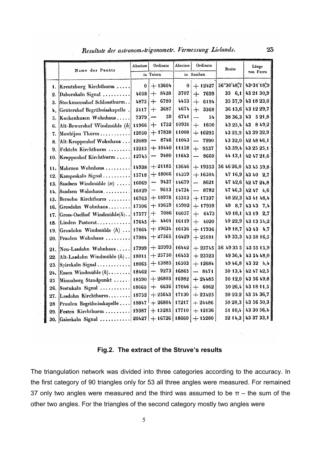|                  | Name des Punkts                                                                                                                                                                                                                                                                                                                           | Abscisse  | Ordinate                         | Abscisse   | Ordinate                         | <b>Breite</b> | Länge       |
|------------------|-------------------------------------------------------------------------------------------------------------------------------------------------------------------------------------------------------------------------------------------------------------------------------------------------------------------------------------------|-----------|----------------------------------|------------|----------------------------------|---------------|-------------|
|                  |                                                                                                                                                                                                                                                                                                                                           | in Toisen |                                  | in Saschen |                                  |               | von Ferro   |
| 1.               | Kreutzburg Kirchthurm                                                                                                                                                                                                                                                                                                                     | 0         | $+13604$                         | 0          | $+ 12427$                        | 56°30'48"7    | 43-31'18",9 |
| $\overline{2}$ . | Daborskaln Signal                                                                                                                                                                                                                                                                                                                         | 4058      | 8428<br>┿                        | 3707       | $+7699$                          | 356, 6, 1     | 43 21 30,9  |
| 3.               | Stockmannshof Schlossthurm                                                                                                                                                                                                                                                                                                                | 4875      | 6780<br>$\div$                   | 4453       | $+ 6194$                         | 35 57,9       | 43 18 23,0  |
| 4,               | Grütershof Begräbnisskapelle.                                                                                                                                                                                                                                                                                                             | 5117      | 3687<br>$+$                      | 4674       | $+$<br>3368                      | 36 13,6       | 43 12 29,7  |
| 5.               | Kockenhusen Wohnhaus                                                                                                                                                                                                                                                                                                                      | 7379      | 59                               | 6741       | 54<br>$\overline{\phantom{0}}$   | 38 36,3       | 43 5 21,8   |
| 6.               | Alt-Bewershof Windmühle (h)                                                                                                                                                                                                                                                                                                               | 11966     | 1752<br>┿                        | 10931      | 1600<br>$+$                      | 43 25,4       | 43 8 4 9, 2 |
| 7.               | Monbijou Thurm                                                                                                                                                                                                                                                                                                                            | 12050     | $+17838$                         | 11008      | $+ 16295$                        | 43 25,9       | 43 39 32,9  |
| 8.               | Alt-Kroppenhof Wohnhaus                                                                                                                                                                                                                                                                                                                   | 12089     | 8746                             | 11043      | 7990                             | 43 32,0       | 42 48 46,1  |
| 9.               | Fehteln Kirchthurm                                                                                                                                                                                                                                                                                                                        | 12215     | $+10440$                         | 11158      | 9537<br>$+$                      | 43.39,4       | 43.25 25,1  |
| 10.              | Kroppenhof Kirchthurm                                                                                                                                                                                                                                                                                                                     | 12745     | 9480                             | 11643      | 8660                             | 44 13,1       | 42 47 21,6  |
| 11.              | Mahrzen Wohnhaus                                                                                                                                                                                                                                                                                                                          | 14938     | $+21185$                         | 13646      | $+ 19353$                        | 56 46 26,0    | 43 45 59,8  |
| 12.              | Kampeskaln Signal                                                                                                                                                                                                                                                                                                                         | 15718     | $+18066$                         | 14359      | $+16504$                         | 47 16,9       | 43 40 2,7   |
| 13.              | Saadsen Windmühle (st)                                                                                                                                                                                                                                                                                                                    | 16069     | 9437<br>$\overline{\phantom{a}}$ | 14679      | 8621<br>÷.                       | 47 42,6       | 42 47 24,8  |
| 14.              | Saadsen Wohnhaus.                                                                                                                                                                                                                                                                                                                         | 16129     | 9613<br>-                        | 14734      | 8782<br>$\overline{\phantom{0}}$ | 47 46,3       | 42474,6     |
| 15.              | Bersohn Kirchthurm                                                                                                                                                                                                                                                                                                                        | 16763     | $+18978$                         | 15313      | $+ 17337$                        | 48 22,3       | 43 41 48,4  |
| 16.              | Grosdohn Wohnhaus                                                                                                                                                                                                                                                                                                                         | 17506     | $+19659$                         | 15992      | $+ 17959$                        | 49 8,7        | 43 43 7,4   |
| 17.              | Gross-Oselhof Windmühle $(h)$                                                                                                                                                                                                                                                                                                             | 17577     | 7086<br>┿                        | 16057      | 6473<br>$+$                      | 49 18,1       | 43 19 2,7   |
| 18.              | Linden Pastorat                                                                                                                                                                                                                                                                                                                           | 17645     | 4401<br>┿                        | 16119      | 4020<br>$+$                      | 49 22,9       | 43 13 54,2  |
| 19.              | Grosdohn Windmühle $(h)$                                                                                                                                                                                                                                                                                                                  | 17664     | $+19634$                         | 16136      | $+17936$                         | 49 18,7       | 43 43 4,7   |
| 20.              | Praulen Wohnhaus                                                                                                                                                                                                                                                                                                                          | 17984     | $+27565$                         | 16429      | $+25181$                         | 49 33,3       | 43 58 16,5  |
| 21.              | Neu-Lasdohn Wohnhaus                                                                                                                                                                                                                                                                                                                      | 17999     | $+$ 25993                        | 16442      | $+23745$                         | 56 49 35 5    | 43 55 15,9  |
| 22.              | Alt-Lasdohn Windmühle (h)                                                                                                                                                                                                                                                                                                                 | 18011     | $+25750$                         | 16453      | $+23523$                         | 49 36,4       | 43 54 48,0  |
| 23.              | Spirekaln Signal                                                                                                                                                                                                                                                                                                                          | 18065     | $+13885$                         | 16503      | $+12684$                         | 4946,8        | 43 32 4,4   |
| 24.              | Essen Windmühle $(h)$                                                                                                                                                                                                                                                                                                                     | 18462     | 9273<br>--                       | 16865      | $-8471$                          | 50 13,4       | 42 47 42,5  |
| 25               | Minnaberg Standpunkt                                                                                                                                                                                                                                                                                                                      | 18590     | $+26803$                         | 16982      | $+24485$                         | 50 12,0       | 43 56 49,8  |
| 26.              | Sestukaln Signal                                                                                                                                                                                                                                                                                                                          | 18660     | $+ 6636$                         | 17046      | $+ 6062$                         | 50 26,4       | 43 18 11,5  |
| 27.              | Lasdohn Kirchthurm                                                                                                                                                                                                                                                                                                                        | 18752     | $+25643$                         | 17130      | $+23425$                         | 50 23,2       | 43 54 36,7  |
| 28               | Praulen Begräbnisskapelle                                                                                                                                                                                                                                                                                                                 | 18847     | $+26804$                         | 17217      | $+24486$                         | 50 28,3       | 43 56 50,3  |
| 29.              | Festen Kirchthurm                                                                                                                                                                                                                                                                                                                         | 19387     | $+13285$                         | 17710      | $+ 12136$                        | 51 10,4       | 43 30 56,4  |
| Ωe               | $C_{\text{e}}$ $C_{\text{e}}$ $C_{\text{e}}$ $C_{\text{e}}$ $C_{\text{e}}$ $C_{\text{e}}$ $C_{\text{e}}$ $C_{\text{e}}$ $C_{\text{e}}$ $C_{\text{e}}$ $C_{\text{e}}$ $C_{\text{e}}$ $C_{\text{e}}$ $C_{\text{e}}$ $C_{\text{e}}$ $C_{\text{e}}$ $C_{\text{e}}$ $C_{\text{e}}$ $C_{\text{e}}$ $C_{\text{e}}$ $C_{\text{e}}$ $C_{\text{e}}$ | 20427     | ± 16726 l                        | 18660      | $+ 15280$                        | 52 14.3       | 43 37 33.1  |

Resultate der astronom-trigonometr. Vermessung Livlands.

#### **Fig.2. The extract of the Struve's results**

The triangulation network was divided into three categories according to the accuracy. In the first category of 90 triangles only for 53 all three angles were measured. For remained 37 only two angles were measured and the third was assumed to be  $\pi$  – the sum of the other two angles. For the triangles of the second category mostly two angles were

23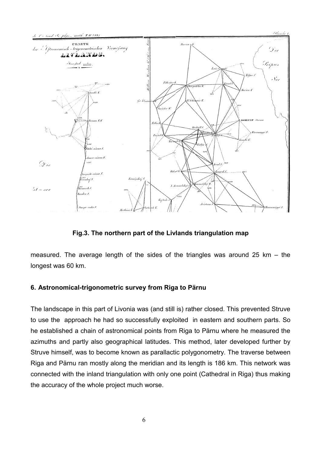

.<br>Planche 1

**Fig.3. The northern part of the Livlands triangulation map**

measured. The average length of the sides of the triangles was around 25 km – the longest was 60 km.

# **6. Astronomical-trigonometric survey from Riga to Pärnu**

The landscape in this part of Livonia was (and still is) rather closed. This prevented Struve to use the approach he had so successfully exploited in eastern and southern parts. So he established a chain of astronomical points from Riga to Pärnu where he measured the azimuths and partly also geographical latitudes. This method, later developed further by Struve himself, was to become known as parallactic polygonometry. The traverse between Riga and Pärnu ran mostly along the meridian and its length is 186 km. This network was connected with the inland triangulation with only one point (Cathedral in Riga) thus making the accuracy of the whole project much worse.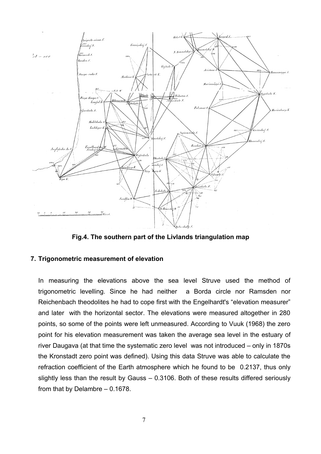

**Fig.4. The southern part of the Livlands triangulation map**

# **7. Trigonometric measurement of elevation**

In measuring the elevations above the sea level Struve used the method of trigonometric levelling. Since he had neither a Borda circle nor Ramsden nor Reichenbach theodolites he had to cope first with the Engelhardt's "elevation measurer" and later with the horizontal sector. The elevations were measured altogether in 280 points, so some of the points were left unmeasured. According to Vuuk (1968) the zero point for his elevation measurement was taken the average sea level in the estuary of river Daugava (at that time the systematic zero level was not introduced – only in 1870s the Kronstadt zero point was defined). Using this data Struve was able to calculate the refraction coefficient of the Earth atmosphere which he found to be 0.2137, thus only slightly less than the result by Gauss – 0.3106. Both of these results differed seriously from that by Delambre – 0.1678.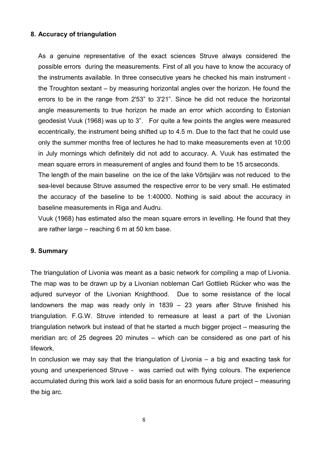# **8. Accuracy of triangulation**

As a genuine representative of the exact sciences Struve always considered the possible errors during the measurements. First of all you have to know the accuracy of the instruments available. In three consecutive years he checked his main instrument the Troughton sextant – by measuring horizontal angles over the horizon. He found the errors to be in the range from 2'53" to 3'21". Since he did not reduce the horizontal angle measurements to true horizon he made an error which according to Estonian geodesist Vuuk (1968) was up to 3". For quite a few points the angles were measured eccentrically, the instrument being shifted up to 4.5 m. Due to the fact that he could use only the summer months free of lectures he had to make measurements even at 10:00 in July mornings which definitely did not add to accuracy. A. Vuuk has estimated the mean square errors in measurement of angles and found them to be 15 arcseconds.

The length of the main baseline on the ice of the lake Võrtsjärv was not reduced to the sea-level because Struve assumed the respective error to be very small. He estimated the accuracy of the baseline to be 1:40000. Nothing is said about the accuracy in baseline measurements in Riga and Audru.

Vuuk (1968) has estimated also the mean square errors in levelling. He found that they are rather large – reaching 6 m at 50 km base.

#### **9. Summary**

The triangulation of Livonia was meant as a basic network for compiling a map of Livonia. The map was to be drawn up by a Livonian nobleman Carl Gottlieb Rücker who was the adjured surveyor of the Livonian Knighthood. Due to some resistance of the local landowners the map was ready only in 1839 – 23 years after Struve finished his triangulation. F.G.W. Struve intended to remeasure at least a part of the Livonian triangulation network but instead of that he started a much bigger project – measuring the meridian arc of 25 degrees 20 minutes – which can be considered as one part of his lifework.

In conclusion we may say that the triangulation of Livonia  $-$  a big and exacting task for young and unexperienced Struve - was carried out with flying colours. The experience accumulated during this work laid a solid basis for an enormous future project – measuring the big arc.

8